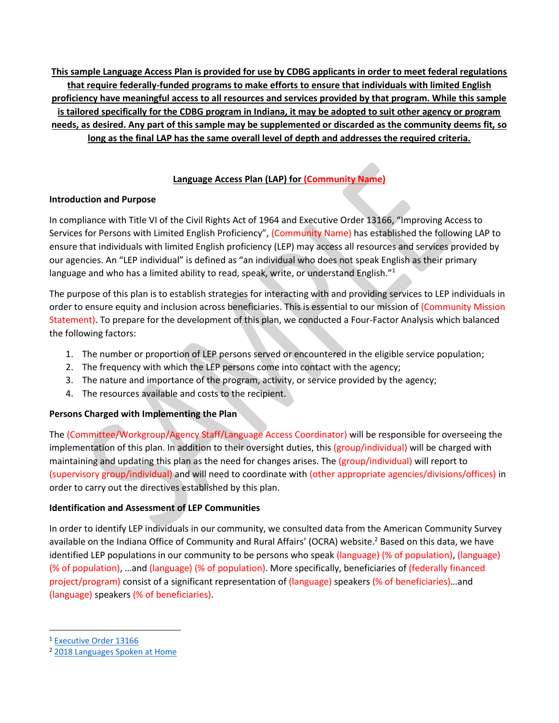**This sample Language Access Plan is provided for use by CDBG applicants in order to meet federal regulations that require federally-funded programs to make efforts to ensure that individuals with limited English proficiency have meaningful access to all resources and services provided by that program. While this sample is tailored specifically for the CDBG program in Indiana, it may be adopted to suit other agency or program needs, as desired. Any part of this sample may be supplemented or discarded as the community deems fit, so long as the final LAP has the same overall level of depth and addresses the required criteria.**

## **Language Access Plan (LAP) for (Community Name)**

## **Introduction and Purpose**

In compliance with Title VI of the Civil Rights Act of 1964 and Executive Order 13166, "Improving Access to Services for Persons with Limited English Proficiency", (Community Name) has established the following LAP to ensure that individuals with limited English proficiency (LEP) may access all resources and services provided by our agencies. An "LEP individual" is defined as "an individual who does not speak English as their primary language and who has a limited ability to read, speak, write, or understand English."<sup>1</sup>

The purpose of this plan is to establish strategies for interacting with and providing services to LEP individuals in order to ensure equity and inclusion across beneficiaries. This is essential to our mission of (Community Mission Statement). To prepare for the development of this plan, we conducted a Four-Factor Analysis which balanced the following factors:

- 1. The number or proportion of LEP persons served or encountered in the eligible service population;
- 2. The frequency with which the LEP persons come into contact with the agency;
- 3. The nature and importance of the program, activity, or service provided by the agency;
- 4. The resources available and costs to the recipient.

# **Persons Charged with Implementing the Plan**

The (Committee/Workgroup/Agency Staff/Language Access Coordinator) will be responsible for overseeing the implementation of this plan. In addition to their oversight duties, this (group/individual) will be charged with maintaining and updating this plan as the need for changes arises. The (group/individual) will report to (supervisory group/individual) and will need to coordinate with (other appropriate agencies/divisions/offices) in order to carry out the directives established by this plan.

# **Identification and Assessment of LEP Communities**

In order to identify LEP individuals in our community, we consulted data from the American Community Survey available on the Indiana Office of Community and Rural Affairs' (OCRA) website.<sup>2</sup> Based on this data, we have identified LEP populations in our community to be persons who speak (language) (% of population), (language) (% of population), …and (language) (% of population). More specifically, beneficiaries of (federally financed project/program) consist of a significant representation of (language) speakers (% of beneficiaries)…and (language) speakers (% of beneficiaries).

l

<sup>1</sup> [Executive Order 13166](https://www.lep.gov/faqs/faqs.html#OneQ1)

<sup>2</sup> [2018 Languages Spoken at Home](https://www.in.gov/ocra/2617.htm)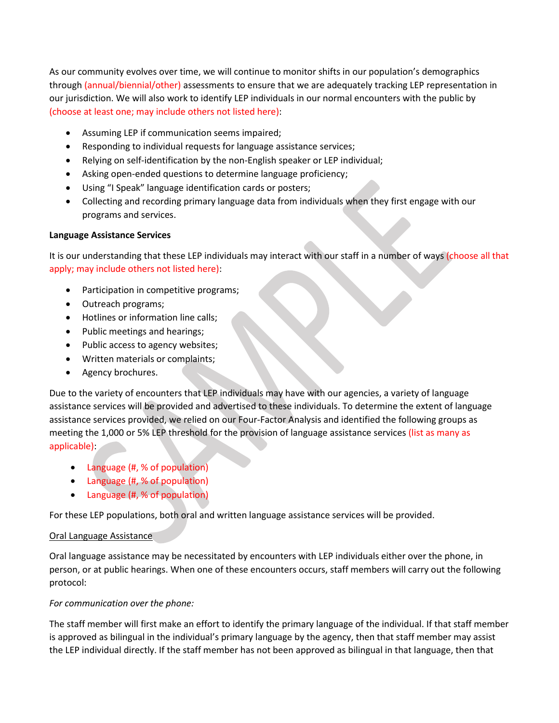As our community evolves over time, we will continue to monitor shifts in our population's demographics through (annual/biennial/other) assessments to ensure that we are adequately tracking LEP representation in our jurisdiction. We will also work to identify LEP individuals in our normal encounters with the public by (choose at least one; may include others not listed here):

- Assuming LEP if communication seems impaired;
- Responding to individual requests for language assistance services;
- Relying on self-identification by the non-English speaker or LEP individual;
- Asking open-ended questions to determine language proficiency;
- Using "I Speak" language identification cards or posters;
- Collecting and recording primary language data from individuals when they first engage with our programs and services.

#### **Language Assistance Services**

It is our understanding that these LEP individuals may interact with our staff in a number of ways (choose all that apply; may include others not listed here):

- Participation in competitive programs;
- Outreach programs;
- Hotlines or information line calls;
- Public meetings and hearings;
- Public access to agency websites;
- Written materials or complaints;
- Agency brochures.

Due to the variety of encounters that LEP individuals may have with our agencies, a variety of language assistance services will be provided and advertised to these individuals. To determine the extent of language assistance services provided, we relied on our Four-Factor Analysis and identified the following groups as meeting the 1,000 or 5% LEP threshold for the provision of language assistance services (list as many as applicable):

- Language (#, % of population)
- Language (#, % of population)
- Language (#, % of population)

For these LEP populations, both oral and written language assistance services will be provided.

### Oral Language Assistance

Oral language assistance may be necessitated by encounters with LEP individuals either over the phone, in person, or at public hearings. When one of these encounters occurs, staff members will carry out the following protocol:

### *For communication over the phone:*

The staff member will first make an effort to identify the primary language of the individual. If that staff member is approved as bilingual in the individual's primary language by the agency, then that staff member may assist the LEP individual directly. If the staff member has not been approved as bilingual in that language, then that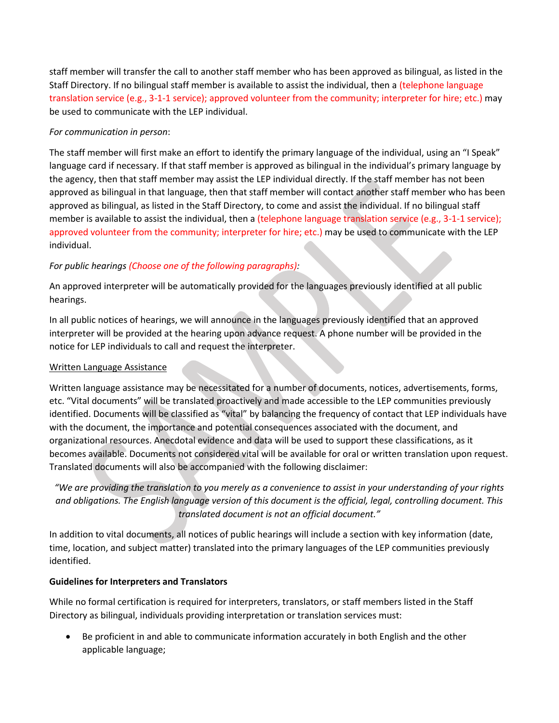staff member will transfer the call to another staff member who has been approved as bilingual, as listed in the Staff Directory. If no bilingual staff member is available to assist the individual, then a (telephone language translation service (e.g., 3-1-1 service); approved volunteer from the community; interpreter for hire; etc.) may be used to communicate with the LEP individual.

## *For communication in person*:

The staff member will first make an effort to identify the primary language of the individual, using an "I Speak" language card if necessary. If that staff member is approved as bilingual in the individual's primary language by the agency, then that staff member may assist the LEP individual directly. If the staff member has not been approved as bilingual in that language, then that staff member will contact another staff member who has been approved as bilingual, as listed in the Staff Directory, to come and assist the individual. If no bilingual staff member is available to assist the individual, then a (telephone language translation service (e.g., 3-1-1 service); approved volunteer from the community; interpreter for hire; etc.) may be used to communicate with the LEP individual.

## *For public hearings (Choose one of the following paragraphs):*

An approved interpreter will be automatically provided for the languages previously identified at all public hearings.

In all public notices of hearings, we will announce in the languages previously identified that an approved interpreter will be provided at the hearing upon advance request. A phone number will be provided in the notice for LEP individuals to call and request the interpreter.

### Written Language Assistance

Written language assistance may be necessitated for a number of documents, notices, advertisements, forms, etc. "Vital documents" will be translated proactively and made accessible to the LEP communities previously identified. Documents will be classified as "vital" by balancing the frequency of contact that LEP individuals have with the document, the importance and potential consequences associated with the document, and organizational resources. Anecdotal evidence and data will be used to support these classifications, as it becomes available. Documents not considered vital will be available for oral or written translation upon request. Translated documents will also be accompanied with the following disclaimer:

*"We are providing the translation to you merely as a convenience to assist in your understanding of your rights and obligations. The English language version of this document is the official, legal, controlling document. This translated document is not an official document."*

In addition to vital documents, all notices of public hearings will include a section with key information (date, time, location, and subject matter) translated into the primary languages of the LEP communities previously identified.

### **Guidelines for Interpreters and Translators**

While no formal certification is required for interpreters, translators, or staff members listed in the Staff Directory as bilingual, individuals providing interpretation or translation services must:

 Be proficient in and able to communicate information accurately in both English and the other applicable language;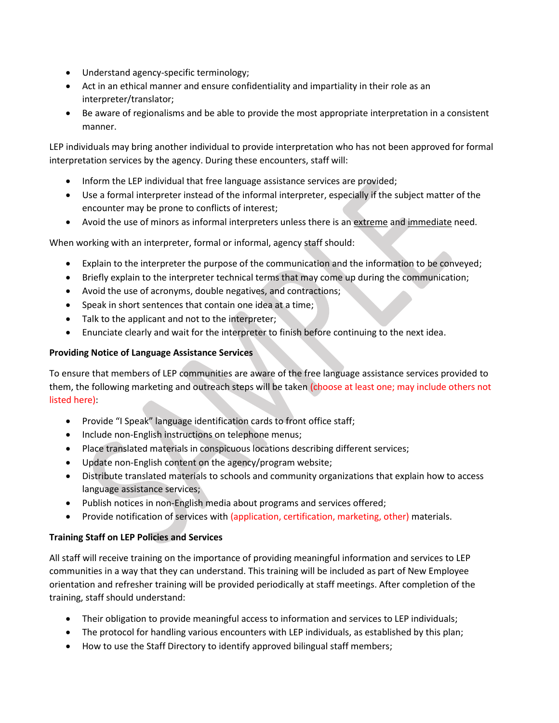- Understand agency-specific terminology;
- Act in an ethical manner and ensure confidentiality and impartiality in their role as an interpreter/translator;
- Be aware of regionalisms and be able to provide the most appropriate interpretation in a consistent manner.

LEP individuals may bring another individual to provide interpretation who has not been approved for formal interpretation services by the agency. During these encounters, staff will:

- Inform the LEP individual that free language assistance services are provided;
- Use a formal interpreter instead of the informal interpreter, especially if the subject matter of the encounter may be prone to conflicts of interest;
- Avoid the use of minors as informal interpreters unless there is an extreme and immediate need.

When working with an interpreter, formal or informal, agency staff should:

- Explain to the interpreter the purpose of the communication and the information to be conveyed;
- Briefly explain to the interpreter technical terms that may come up during the communication;
- Avoid the use of acronyms, double negatives, and contractions;
- Speak in short sentences that contain one idea at a time;
- Talk to the applicant and not to the interpreter;
- Enunciate clearly and wait for the interpreter to finish before continuing to the next idea.

### **Providing Notice of Language Assistance Services**

To ensure that members of LEP communities are aware of the free language assistance services provided to them, the following marketing and outreach steps will be taken (choose at least one; may include others not listed here):

- Provide "I Speak" language identification cards to front office staff;
- Include non-English instructions on telephone menus;
- Place translated materials in conspicuous locations describing different services;
- Update non-English content on the agency/program website;
- Distribute translated materials to schools and community organizations that explain how to access language assistance services;
- Publish notices in non-English media about programs and services offered;
- Provide notification of services with (application, certification, marketing, other) materials.

### **Training Staff on LEP Policies and Services**

All staff will receive training on the importance of providing meaningful information and services to LEP communities in a way that they can understand. This training will be included as part of New Employee orientation and refresher training will be provided periodically at staff meetings. After completion of the training, staff should understand:

- Their obligation to provide meaningful access to information and services to LEP individuals;
- The protocol for handling various encounters with LEP individuals, as established by this plan;
- How to use the Staff Directory to identify approved bilingual staff members;